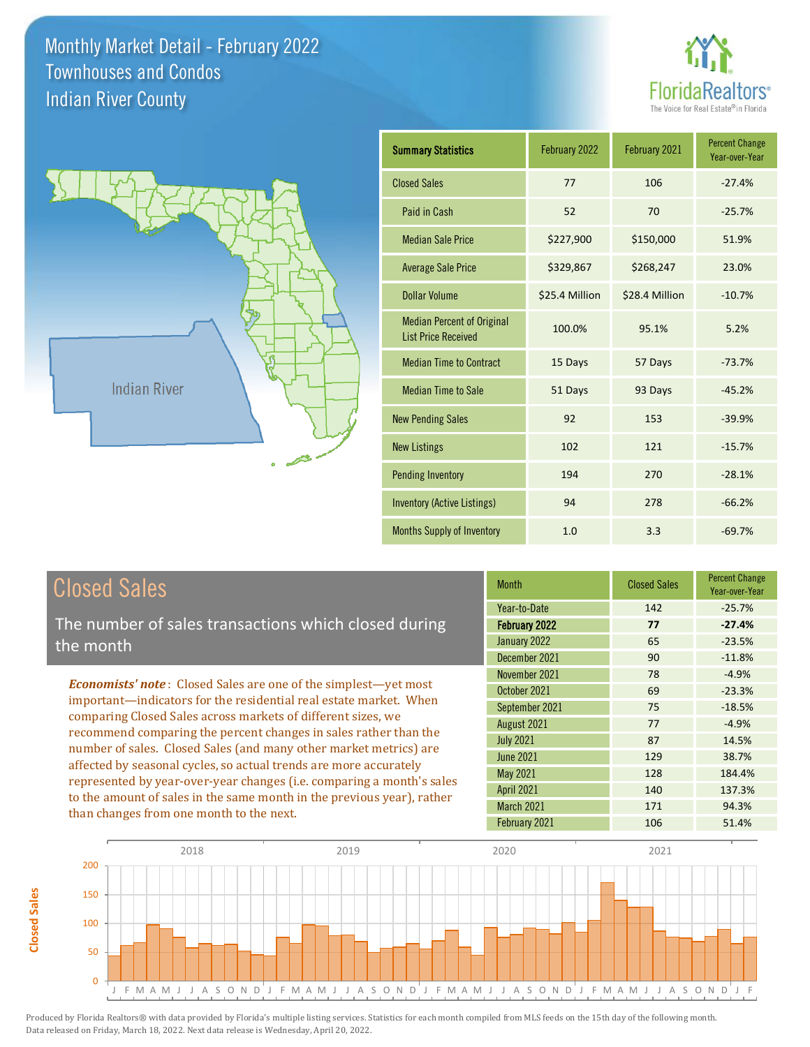



| <b>Summary Statistics</b>                                       | February 2022  | February 2021  | <b>Percent Change</b><br>Year-over-Year |
|-----------------------------------------------------------------|----------------|----------------|-----------------------------------------|
| <b>Closed Sales</b>                                             | 77             | 106            | $-27.4%$                                |
| Paid in Cash                                                    | 52             | 70             | $-25.7%$                                |
| <b>Median Sale Price</b>                                        | \$227,900      | \$150,000      | 51.9%                                   |
| <b>Average Sale Price</b>                                       | \$329,867      | \$268,247      | 23.0%                                   |
| Dollar Volume                                                   | \$25.4 Million | \$28.4 Million | $-10.7%$                                |
| <b>Median Percent of Original</b><br><b>List Price Received</b> | 100.0%         | 95.1%          | 5.2%                                    |
| <b>Median Time to Contract</b>                                  | 15 Days        | 57 Days        | $-73.7%$                                |
| <b>Median Time to Sale</b>                                      | 51 Days        | 93 Days        | $-45.2%$                                |
| <b>New Pending Sales</b>                                        | 92             | 153            | $-39.9%$                                |
| <b>New Listings</b>                                             | 102            | 121            | $-15.7%$                                |
| <b>Pending Inventory</b>                                        | 194            | 270            | $-28.1%$                                |
| <b>Inventory (Active Listings)</b>                              | 94             | 278            | $-66.2%$                                |
| <b>Months Supply of Inventory</b>                               | 1.0            | 3.3            | $-69.7%$                                |

## Closed Sales

**Closed Sales**

**Closed Sales** 

The number of sales transactions which closed during the month

*Economists' note* : Closed Sales are one of the simplest—yet most important—indicators for the residential real estate market. When comparing Closed Sales across markets of different sizes, we recommend comparing the percent changes in sales rather than the number of sales. Closed Sales (and many other market metrics) are affected by seasonal cycles, so actual trends are more accurately represented by year-over-year changes (i.e. comparing a month's sales to the amount of sales in the same month in the previous year), rather than changes from one month to the next.

| <b>Month</b>         | <b>Closed Sales</b> | <b>Percent Change</b><br>Year-over-Year |
|----------------------|---------------------|-----------------------------------------|
| Year-to-Date         | 142                 | $-25.7%$                                |
| <b>February 2022</b> | 77                  | $-27.4%$                                |
| January 2022         | 65                  | $-23.5%$                                |
| December 2021        | 90                  | $-11.8%$                                |
| November 2021        | 78                  | $-4.9%$                                 |
| October 2021         | 69                  | $-23.3%$                                |
| September 2021       | 75                  | $-18.5%$                                |
| August 2021          | 77                  | $-4.9%$                                 |
| <b>July 2021</b>     | 87                  | 14.5%                                   |
| <b>June 2021</b>     | 129                 | 38.7%                                   |
| <b>May 2021</b>      | 128                 | 184.4%                                  |
| <b>April 2021</b>    | 140                 | 137.3%                                  |
| March 2021           | 171                 | 94.3%                                   |
| February 2021        | 106                 | 51.4%                                   |

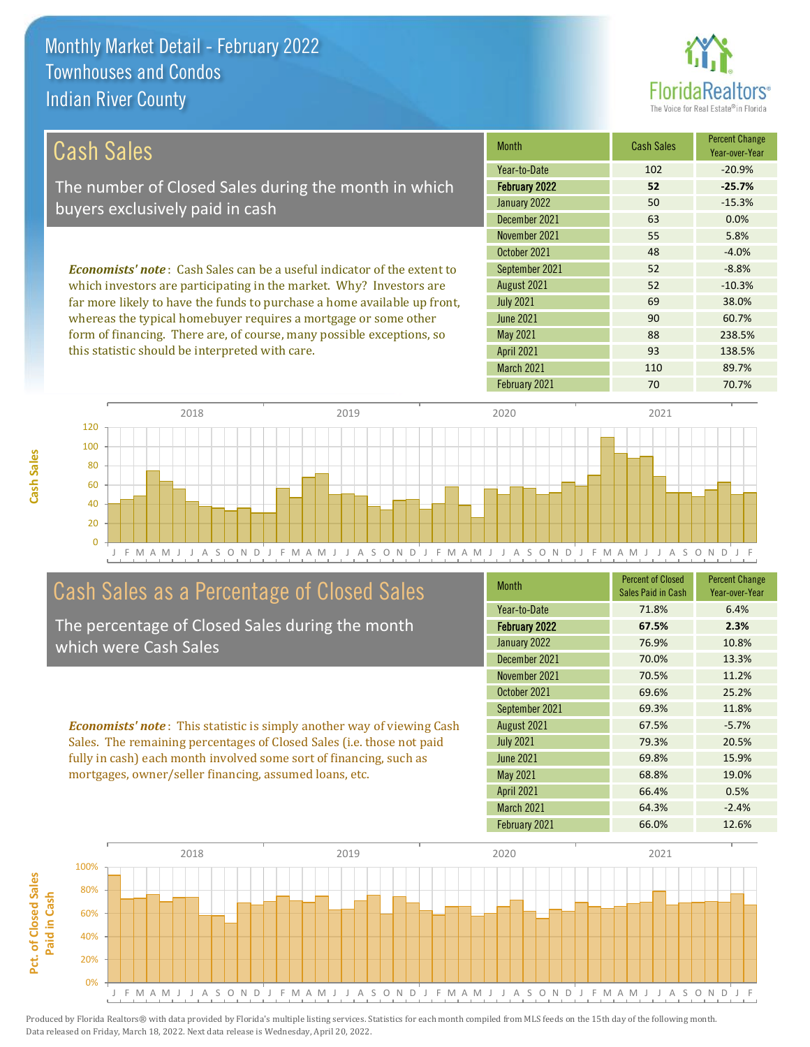

| Cash Sales                                                                     | <b>Month</b>      | <b>Cash Sales</b> | <b>Percent Change</b><br>Year-over-Year |
|--------------------------------------------------------------------------------|-------------------|-------------------|-----------------------------------------|
|                                                                                | Year-to-Date      | 102               | $-20.9%$                                |
| The number of Closed Sales during the month in which                           | February 2022     | 52                | $-25.7%$                                |
| buyers exclusively paid in cash                                                | January 2022      | 50                | $-15.3%$                                |
|                                                                                | December 2021     | 63                | 0.0%                                    |
|                                                                                | November 2021     | 55                | 5.8%                                    |
|                                                                                | October 2021      | 48                | $-4.0%$                                 |
| <b>Economists' note:</b> Cash Sales can be a useful indicator of the extent to | September 2021    | 52                | $-8.8%$                                 |
| which investors are participating in the market. Why? Investors are            | August 2021       | 52                | $-10.3%$                                |
| far more likely to have the funds to purchase a home available up front,       | <b>July 2021</b>  | 69                | 38.0%                                   |
| whereas the typical homebuyer requires a mortgage or some other                | June 2021         | 90                | 60.7%                                   |
| form of financing. There are, of course, many possible exceptions, so          | May 2021          | 88                | 238.5%                                  |
| this statistic should be interpreted with care.                                | <b>April 2021</b> | 93                | 138.5%                                  |



## Cash Sales as a Percentage of Closed Sales

The percentage of Closed Sales during the month which were Cash Sales

*Economists' note* : This statistic is simply another way of viewing Cash Sales. The remaining percentages of Closed Sales (i.e. those not paid fully in cash) each month involved some sort of financing, such as mortgages, owner/seller financing, assumed loans, etc.

| <b>Month</b>      | <b>Percent of Closed</b><br><b>Sales Paid in Cash</b> | <b>Percent Change</b><br>Year-over-Year |
|-------------------|-------------------------------------------------------|-----------------------------------------|
| Year-to-Date      | 71.8%                                                 | 6.4%                                    |
| February 2022     | 67.5%                                                 | 2.3%                                    |
| January 2022      | 76.9%                                                 | 10.8%                                   |
| December 2021     | 70.0%                                                 | 13.3%                                   |
| November 2021     | 70.5%                                                 | 11.2%                                   |
| October 2021      | 69.6%                                                 | 25.2%                                   |
| September 2021    | 69.3%                                                 | 11.8%                                   |
| August 2021       | 67.5%                                                 | $-5.7%$                                 |
| <b>July 2021</b>  | 79.3%                                                 | 20.5%                                   |
| <b>June 2021</b>  | 69.8%                                                 | 15.9%                                   |
| <b>May 2021</b>   | 68.8%                                                 | 19.0%                                   |
| <b>April 2021</b> | 66.4%                                                 | 0.5%                                    |
| March 2021        | 64.3%                                                 | $-2.4%$                                 |
| February 2021     | 66.0%                                                 | 12.6%                                   |

March 2021 110 110 89.7%

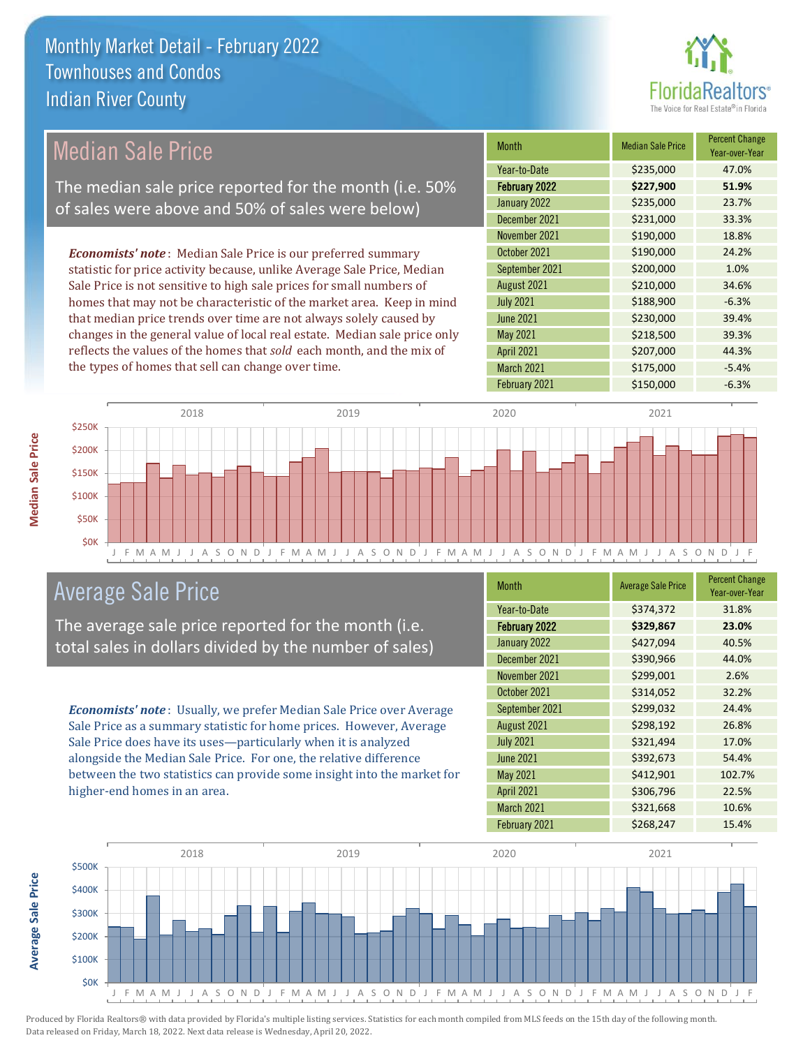

| Median Sale Price                                                         | <b>Month</b>      | <b>Median Sale Price</b> | <b>Percent Change</b><br>Year-over-Year |
|---------------------------------------------------------------------------|-------------------|--------------------------|-----------------------------------------|
|                                                                           | Year-to-Date      | \$235,000                | 47.0%                                   |
| The median sale price reported for the month (i.e. 50%                    | February 2022     | \$227,900                | 51.9%                                   |
| of sales were above and 50% of sales were below)                          | January 2022      | \$235,000                | 23.7%                                   |
|                                                                           | December 2021     | \$231,000                | 33.3%                                   |
|                                                                           | November 2021     | \$190,000                | 18.8%                                   |
| <b>Economists' note:</b> Median Sale Price is our preferred summary       | October 2021      | \$190,000                | 24.2%                                   |
| statistic for price activity because, unlike Average Sale Price, Median   | September 2021    | \$200,000                | 1.0%                                    |
| Sale Price is not sensitive to high sale prices for small numbers of      | August 2021       | \$210,000                | 34.6%                                   |
| homes that may not be characteristic of the market area. Keep in mind     | <b>July 2021</b>  | \$188,900                | $-6.3%$                                 |
| that median price trends over time are not always solely caused by        | June 2021         | \$230,000                | 39.4%                                   |
| changes in the general value of local real estate. Median sale price only | May 2021          | \$218,500                | 39.3%                                   |
| reflects the values of the homes that sold each month, and the mix of     | <b>April 2021</b> | \$207,000                | 44.3%                                   |
| the types of homes that sell can change over time.                        | March 2021        | \$175,000                | $-5.4%$                                 |



## Average Sale Price

The average sale price reported for the month (i.e. total sales in dollars divided by the number of sales)

*Economists' note* : Usually, we prefer Median Sale Price over Average Sale Price as a summary statistic for home prices. However, Average Sale Price does have its uses—particularly when it is analyzed alongside the Median Sale Price. For one, the relative difference between the two statistics can provide some insight into the market for higher-end homes in an area.

| <b>Month</b>         | <b>Average Sale Price</b> | <b>Percent Change</b><br>Year-over-Year |
|----------------------|---------------------------|-----------------------------------------|
| Year-to-Date         | \$374,372                 | 31.8%                                   |
| <b>February 2022</b> | \$329,867                 | 23.0%                                   |
| January 2022         | \$427,094                 | 40.5%                                   |
| December 2021        | \$390,966                 | 44.0%                                   |
| November 2021        | \$299,001                 | 2.6%                                    |
| October 2021         | \$314,052                 | 32.2%                                   |
| September 2021       | \$299,032                 | 24.4%                                   |
| August 2021          | \$298,192                 | 26.8%                                   |
| <b>July 2021</b>     | \$321,494                 | 17.0%                                   |
| <b>June 2021</b>     | \$392,673                 | 54.4%                                   |
| <b>May 2021</b>      | \$412,901                 | 102.7%                                  |
| <b>April 2021</b>    | \$306,796                 | 22.5%                                   |
| March 2021           | \$321,668                 | 10.6%                                   |
| February 2021        | \$268,247                 | 15.4%                                   |

February 2021 **\$150,000** -6.3%



**Average Sale Price Average Sale Price**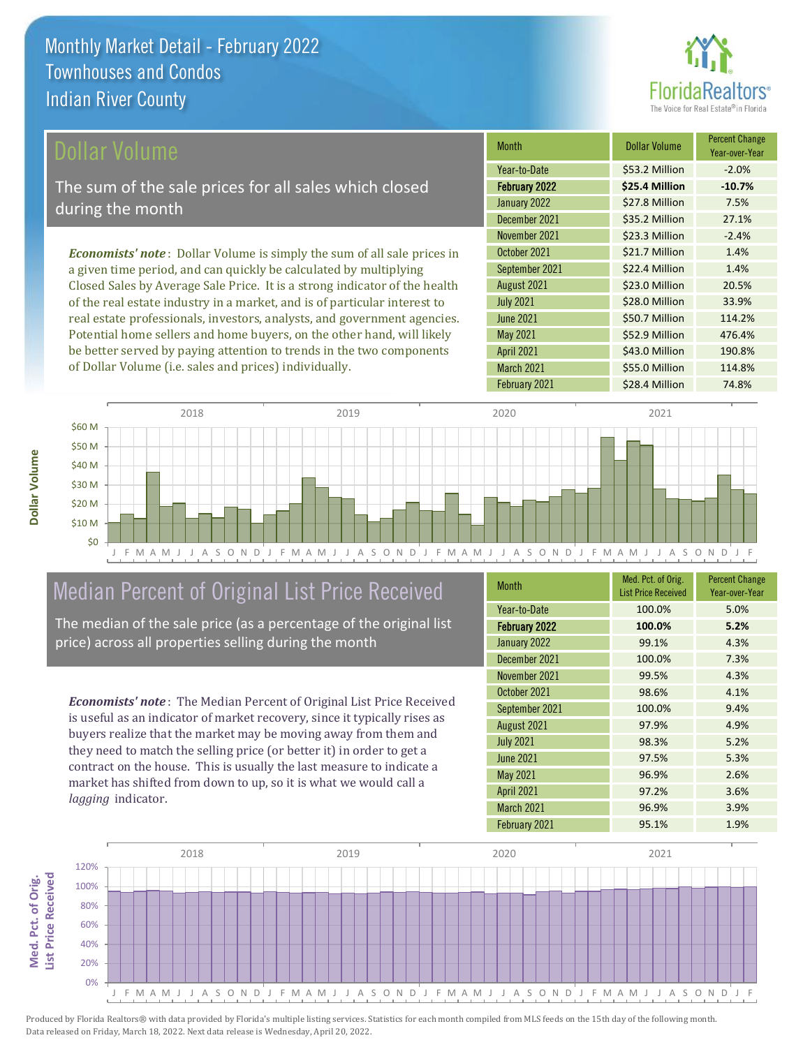

\$43.0 Million 190.8%

March 2021 \$55.0 Million 114.8%

April 2021

| Dollar Volume                                                                   | <b>Month</b>     | <b>Dollar Volume</b> | <b>Percent Change</b><br>Year-over-Year |
|---------------------------------------------------------------------------------|------------------|----------------------|-----------------------------------------|
|                                                                                 | Year-to-Date     | \$53.2 Million       | $-2.0%$                                 |
| The sum of the sale prices for all sales which closed                           | February 2022    | \$25.4 Million       | $-10.7%$                                |
| during the month                                                                | January 2022     | \$27.8 Million       | 7.5%                                    |
|                                                                                 | December 2021    | \$35.2 Million       | 27.1%                                   |
|                                                                                 | November 2021    | \$23.3 Million       | $-2.4%$                                 |
| <b>Economists' note</b> : Dollar Volume is simply the sum of all sale prices in | October 2021     | \$21.7 Million       | 1.4%                                    |
| a given time period, and can quickly be calculated by multiplying               | September 2021   | \$22.4 Million       | 1.4%                                    |
| Closed Sales by Average Sale Price. It is a strong indicator of the health      | August 2021      | \$23.0 Million       | 20.5%                                   |
| of the real estate industry in a market, and is of particular interest to       | <b>July 2021</b> | \$28.0 Million       | 33.9%                                   |
| real estate professionals, investors, analysts, and government agencies.        | <b>June 2021</b> | \$50.7 Million       | 114.2%                                  |
| Potential home sellers and home buyers, on the other hand, will likely          | May 2021         | \$52.9 Million       | 476.4%                                  |



## Median Percent of Original List Price Received

be better served by paying attention to trends in the two components

of Dollar Volume (i.e. sales and prices) individually.

The median of the sale price (as a percentage of the original list price) across all properties selling during the month

*Economists' note* : The Median Percent of Original List Price Received is useful as an indicator of market recovery, since it typically rises as buyers realize that the market may be moving away from them and they need to match the selling price (or better it) in order to get a contract on the house. This is usually the last measure to indicate a market has shifted from down to up, so it is what we would call a *lagging* indicator.

| <b>Month</b>      | Med. Pct. of Orig.<br><b>List Price Received</b> | <b>Percent Change</b><br>Year-over-Year |
|-------------------|--------------------------------------------------|-----------------------------------------|
| Year-to-Date      | 100.0%                                           | 5.0%                                    |
| February 2022     | 100.0%                                           | 5.2%                                    |
| January 2022      | 99.1%                                            | 4.3%                                    |
| December 2021     | 100.0%                                           | 7.3%                                    |
| November 2021     | 99.5%                                            | 4.3%                                    |
| October 2021      | 98.6%                                            | 4.1%                                    |
| September 2021    | 100.0%                                           | 9.4%                                    |
| August 2021       | 97.9%                                            | 4.9%                                    |
| <b>July 2021</b>  | 98.3%                                            | 5.2%                                    |
| <b>June 2021</b>  | 97.5%                                            | 5.3%                                    |
| <b>May 2021</b>   | 96.9%                                            | 2.6%                                    |
| <b>April 2021</b> | 97.2%                                            | 3.6%                                    |
| March 2021        | 96.9%                                            | 3.9%                                    |
| February 2021     | 95.1%                                            | 1.9%                                    |



**Dollar Volume**

Dollar Volume

**List Price Received Med. Pct. of Orig.**  Med. Pct. of Orig. **List Price Received**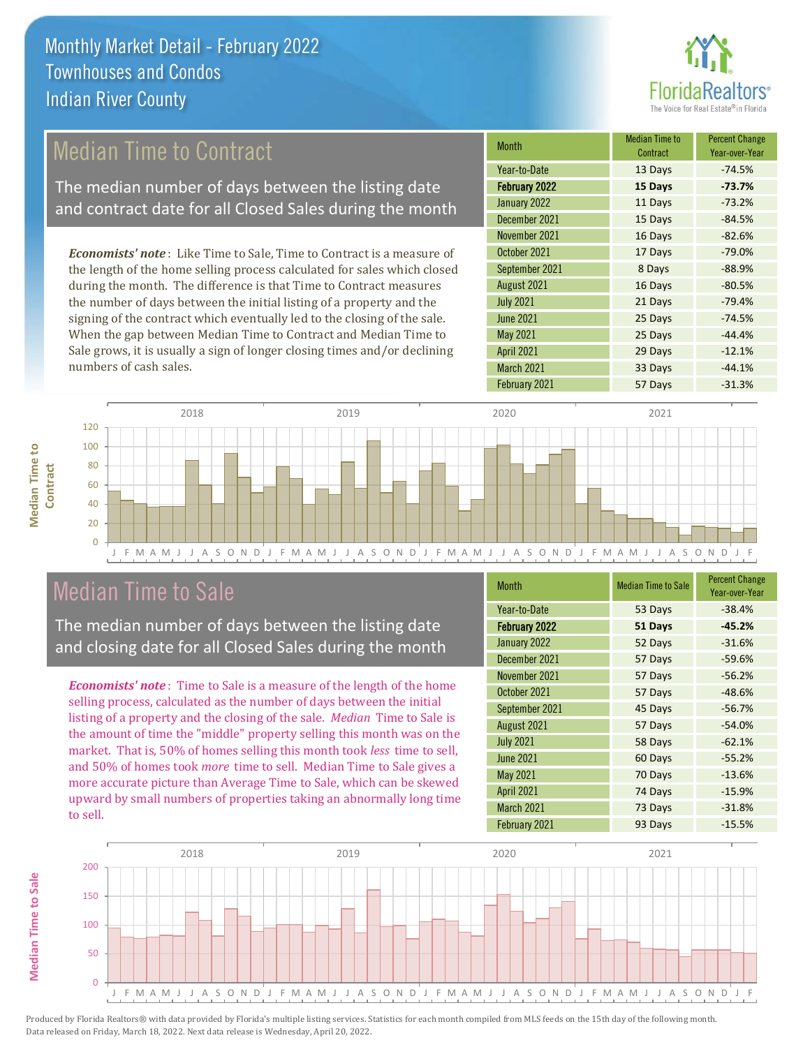

## Median Time to Contract

The median number of days between the listing date and contract date for all Closed Sales during the month

*Economists' note* : Like Time to Sale, Time to Contract is a measure of the length of the home selling process calculated for sales which closed during the month. The difference is that Time to Contract measures the number of days between the initial listing of a property and the signing of the contract which eventually led to the closing of the sale. When the gap between Median Time to Contract and Median Time to Sale grows, it is usually a sign of longer closing times and/or declining numbers of cash sales.

| <b>Month</b>         | <b>Median Time to</b><br>Contract | <b>Percent Change</b><br>Year-over-Year |
|----------------------|-----------------------------------|-----------------------------------------|
| Year-to-Date         | 13 Days                           | $-74.5%$                                |
| <b>February 2022</b> | 15 Days                           | $-73.7%$                                |
| January 2022         | 11 Days                           | $-73.2%$                                |
| December 2021        | 15 Days                           | $-84.5%$                                |
| November 2021        | 16 Days                           | $-82.6%$                                |
| October 2021         | 17 Days                           | $-79.0%$                                |
| September 2021       | 8 Days                            | $-88.9%$                                |
| August 2021          | 16 Days                           | $-80.5%$                                |
| <b>July 2021</b>     | 21 Days                           | $-79.4%$                                |
| <b>June 2021</b>     | 25 Days                           | $-74.5%$                                |
| May 2021             | 25 Days                           | $-44.4%$                                |
| <b>April 2021</b>    | 29 Days                           | $-12.1%$                                |
| March 2021           | 33 Days                           | $-44.1%$                                |
| February 2021        | 57 Days                           | $-31.3%$                                |



### Median Time to Sale

**Median Time to Sale**

**Median Time to Sale** 

**Median Time to** 

**Median Time to** 

The median number of days between the listing date and closing date for all Closed Sales during the month

*Economists' note* : Time to Sale is a measure of the length of the home selling process, calculated as the number of days between the initial listing of a property and the closing of the sale. *Median* Time to Sale is the amount of time the "middle" property selling this month was on the market. That is, 50% of homes selling this month took *less* time to sell, and 50% of homes took *more* time to sell. Median Time to Sale gives a more accurate picture than Average Time to Sale, which can be skewed upward by small numbers of properties taking an abnormally long time to sell.

| <b>Month</b>     | <b>Median Time to Sale</b> | <b>Percent Change</b><br>Year-over-Year |
|------------------|----------------------------|-----------------------------------------|
| Year-to-Date     | 53 Days                    | $-38.4%$                                |
| February 2022    | 51 Days                    | $-45.2%$                                |
| January 2022     | 52 Days                    | $-31.6%$                                |
| December 2021    | 57 Days                    | $-59.6%$                                |
| November 2021    | 57 Days                    | $-56.2%$                                |
| October 2021     | 57 Days                    | $-48.6%$                                |
| September 2021   | 45 Days                    | $-56.7%$                                |
| August 2021      | 57 Days                    | $-54.0%$                                |
| <b>July 2021</b> | 58 Days                    | $-62.1%$                                |
| <b>June 2021</b> | 60 Days                    | $-55.2%$                                |
| May 2021         | 70 Days                    | $-13.6%$                                |
| April 2021       | 74 Days                    | $-15.9%$                                |
| March 2021       | 73 Days                    | $-31.8%$                                |
| February 2021    | 93 Days                    | $-15.5%$                                |
|                  |                            |                                         |

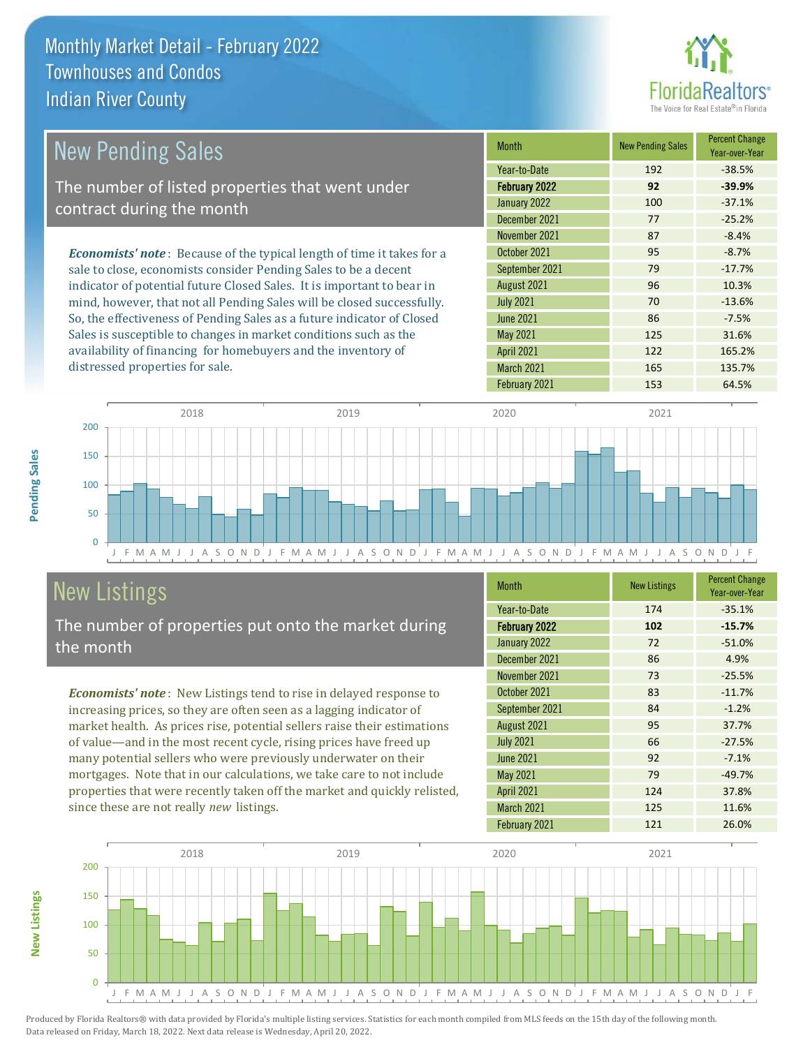

| <b>New Pending Sales</b>                                                      | <b>Month</b>      | <b>New Pending Sales</b> | <b>Percent Change</b><br>Year-over-Year |
|-------------------------------------------------------------------------------|-------------------|--------------------------|-----------------------------------------|
|                                                                               | Year-to-Date      | 192                      | $-38.5%$                                |
| The number of listed properties that went under                               | February 2022     | 92                       | $-39.9%$                                |
| contract during the month                                                     | January 2022      | 100                      | $-37.1%$                                |
|                                                                               | December 2021     | 77                       | $-25.2%$                                |
|                                                                               | November 2021     | 87                       | $-8.4%$                                 |
| <b>Economists' note:</b> Because of the typical length of time it takes for a | October 2021      | 95                       | $-8.7%$                                 |
| sale to close, economists consider Pending Sales to be a decent               | September 2021    | 79                       | $-17.7%$                                |
| indicator of potential future Closed Sales. It is important to bear in        | August 2021       | 96                       | 10.3%                                   |
| mind, however, that not all Pending Sales will be closed successfully.        | <b>July 2021</b>  | 70                       | $-13.6%$                                |
| So, the effectiveness of Pending Sales as a future indicator of Closed        | <b>June 2021</b>  | 86                       | $-7.5%$                                 |
| Sales is susceptible to changes in market conditions such as the              | May 2021          | 125                      | 31.6%                                   |
| availability of financing for homebuyers and the inventory of                 | <b>April 2021</b> | 122                      | 165.2%                                  |



## New Listings

distressed properties for sale.

The number of properties put onto the market during the month

*Economists' note* : New Listings tend to rise in delayed response to increasing prices, so they are often seen as a lagging indicator of market health. As prices rise, potential sellers raise their estimations of value—and in the most recent cycle, rising prices have freed up many potential sellers who were previously underwater on their mortgages. Note that in our calculations, we take care to not include properties that were recently taken off the market and quickly relisted, since these are not really *new* listings.

| <b>Month</b>         | <b>New Listings</b> | <b>Percent Change</b><br>Year-over-Year |
|----------------------|---------------------|-----------------------------------------|
| Year-to-Date         | 174                 | $-35.1%$                                |
| <b>February 2022</b> | 102                 | $-15.7%$                                |
| January 2022         | 72                  | $-51.0%$                                |
| December 2021        | 86                  | 4.9%                                    |
| November 2021        | 73                  | $-25.5%$                                |
| October 2021         | 83                  | $-11.7%$                                |
| September 2021       | 84                  | $-1.2%$                                 |
| August 2021          | 95                  | 37.7%                                   |
| <b>July 2021</b>     | 66                  | $-27.5%$                                |
| <b>June 2021</b>     | 92                  | $-7.1%$                                 |
| May 2021             | 79                  | $-49.7%$                                |
| <b>April 2021</b>    | 124                 | 37.8%                                   |
| March 2021           | 125                 | 11.6%                                   |
| February 2021        | 121                 | 26.0%                                   |

March 2021 165 135.7%



Produced by Florida Realtors® with data provided by Florida's multiple listing services. Statistics for each month compiled from MLS feeds on the 15th day of the following month. Data released on Friday, March 18, 2022. Next data release is Wednesday, April 20, 2022.

**New Listings**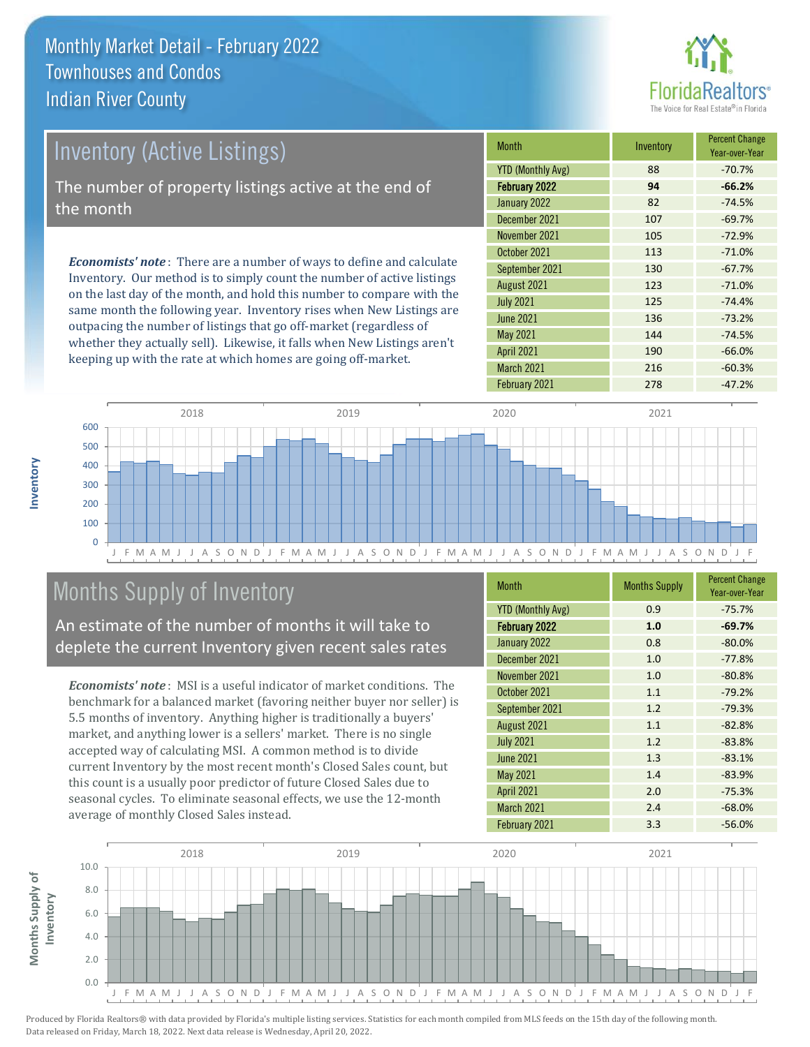

| Inventory (Active Listings)                                                                                                                           | <b>Month</b>      | Inventory | <b>Percent Change</b><br>Year-over-Year |
|-------------------------------------------------------------------------------------------------------------------------------------------------------|-------------------|-----------|-----------------------------------------|
|                                                                                                                                                       | YTD (Monthly Avg) | 88        | $-70.7%$                                |
| The number of property listings active at the end of                                                                                                  | February 2022     | 94        | $-66.2%$                                |
| the month                                                                                                                                             | January 2022      | 82        | $-74.5%$                                |
|                                                                                                                                                       | December 2021     | 107       | $-69.7%$                                |
| <b>Economists' note:</b> There are a number of ways to define and calculate<br>Invantory, Our mathod is to simply count the number of active listings | November 2021     | 105       | $-72.9%$                                |
|                                                                                                                                                       | October 2021      | 113       | $-71.0%$                                |
|                                                                                                                                                       | September 2021    | 130       | $-67.7%$                                |

Inventory. Our method is to simply count the number of active listings on the last day of the month, and hold this number to compare with the same month the following year. Inventory rises when New Listings are outpacing the number of listings that go off-market (regardless of whether they actually sell). Likewise, it falls when New Listings aren't keeping up with the rate at which homes are going off-market.

| <b>IVIOHHH</b>           | <b>HIVEHLOLY</b> | Year-over-Year |
|--------------------------|------------------|----------------|
| <b>YTD (Monthly Avg)</b> | 88               | $-70.7%$       |
| February 2022            | 94               | $-66.2%$       |
| January 2022             | 82               | $-74.5%$       |
| December 2021            | 107              | $-69.7%$       |
| November 2021            | 105              | $-72.9%$       |
| October 2021             | 113              | $-71.0%$       |
| September 2021           | 130              | $-67.7%$       |
| August 2021              | 123              | $-71.0%$       |
| <b>July 2021</b>         | 125              | $-74.4%$       |
| <b>June 2021</b>         | 136              | $-73.2%$       |
| May 2021                 | 144              | $-74.5%$       |
| <b>April 2021</b>        | 190              | $-66.0%$       |
| March 2021               | 216              | $-60.3%$       |
| February 2021            | 278              | $-47.2%$       |



## Months Supply of Inventory

An estimate of the number of months it will take to deplete the current Inventory given recent sales rates

*Economists' note* : MSI is a useful indicator of market conditions. The benchmark for a balanced market (favoring neither buyer nor seller) is 5.5 months of inventory. Anything higher is traditionally a buyers' market, and anything lower is a sellers' market. There is no single accepted way of calculating MSI. A common method is to divide current Inventory by the most recent month's Closed Sales count, but this count is a usually poor predictor of future Closed Sales due to seasonal cycles. To eliminate seasonal effects, we use the 12-month average of monthly Closed Sales instead.

| <b>Month</b>             | <b>Months Supply</b> | <b>Percent Change</b><br>Year-over-Year |
|--------------------------|----------------------|-----------------------------------------|
| <b>YTD (Monthly Avg)</b> | 0.9                  | $-75.7%$                                |
| February 2022            | 1.0                  | $-69.7%$                                |
| January 2022             | 0.8                  | $-80.0%$                                |
| December 2021            | 1.0                  | $-77.8%$                                |
| November 2021            | 1.0                  | $-80.8%$                                |
| October 2021             | 1.1                  | $-79.2%$                                |
| September 2021           | 1.2                  | $-79.3%$                                |
| August 2021              | 1.1                  | $-82.8%$                                |
| <b>July 2021</b>         | 1.2                  | $-83.8%$                                |
| <b>June 2021</b>         | 1.3                  | $-83.1%$                                |
| <b>May 2021</b>          | 1.4                  | $-83.9%$                                |
| April 2021               | 2.0                  | $-75.3%$                                |
| March 2021               | 2.4                  | $-68.0%$                                |
| February 2021            | 3.3                  | $-56.0%$                                |



Produced by Florida Realtors® with data provided by Florida's multiple listing services. Statistics for each month compiled from MLS feeds on the 15th day of the following month. Data released on Friday, March 18, 2022. Next data release is Wednesday, April 20, 2022.

**Months Supply of** 

Months Supply of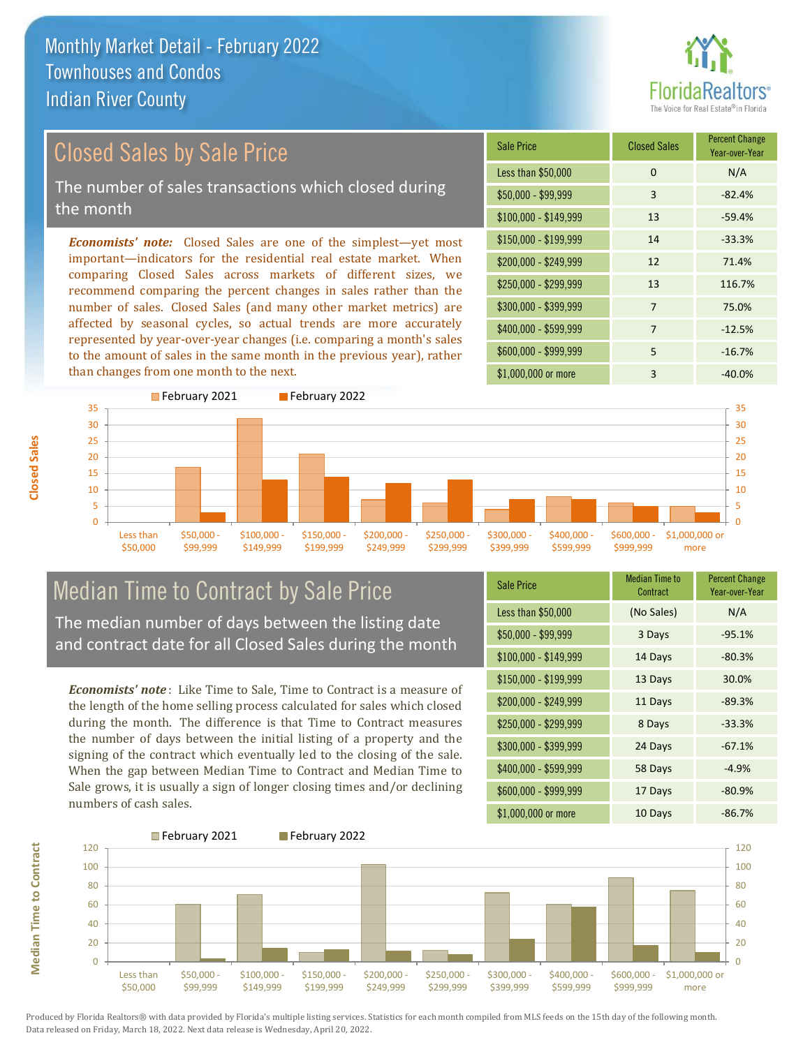

## Closed Sales by Sale Price

The number of sales transactions which closed during the month

*Economists' note:* Closed Sales are one of the simplest—yet most important—indicators for the residential real estate market. When comparing Closed Sales across markets of different sizes, we recommend comparing the percent changes in sales rather than the number of sales. Closed Sales (and many other market metrics) are affected by seasonal cycles, so actual trends are more accurately represented by year-over-year changes (i.e. comparing a month's sales to the amount of sales in the same month in the previous year), rather than changes from one month to the next.

| Sale Price            | <b>Closed Sales</b> | <b>Percent Change</b><br>Year-over-Year |
|-----------------------|---------------------|-----------------------------------------|
| Less than \$50,000    | 0                   | N/A                                     |
| \$50,000 - \$99,999   | 3                   | $-82.4%$                                |
| $$100,000 - $149,999$ | 13                  | $-59.4%$                                |
| $$150,000 - $199,999$ | 14                  | $-33.3%$                                |
| $$200,000 - $249,999$ | 12                  | 71.4%                                   |
| \$250,000 - \$299,999 | 13                  | 116.7%                                  |
| \$300,000 - \$399,999 | $\overline{7}$      | 75.0%                                   |
| \$400,000 - \$599,999 | $\overline{7}$      | $-12.5%$                                |
| \$600,000 - \$999,999 | 5                   | $-16.7%$                                |
| \$1,000,000 or more   | 3                   | $-40.0%$                                |



# Median Time to Contract by Sale Price

The median number of days between the listing date and contract date for all Closed Sales during the month

*Economists' note* : Like Time to Sale, Time to Contract is a measure of the length of the home selling process calculated for sales which closed during the month. The difference is that Time to Contract measures the number of days between the initial listing of a property and the signing of the contract which eventually led to the closing of the sale. When the gap between Median Time to Contract and Median Time to Sale grows, it is usually a sign of longer closing times and/or declining numbers of cash sales.

| <b>Sale Price</b>     | <b>Median Time to</b><br>Contract | <b>Percent Change</b><br>Year-over-Year |
|-----------------------|-----------------------------------|-----------------------------------------|
| Less than \$50,000    | (No Sales)                        | N/A                                     |
| $$50,000 - $99,999$   | 3 Days                            | $-95.1%$                                |
| $$100,000 - $149,999$ | 14 Days                           | $-80.3%$                                |
| $$150,000 - $199,999$ | 13 Days                           | 30.0%                                   |
| \$200,000 - \$249,999 | 11 Days                           | $-89.3%$                                |
| \$250,000 - \$299,999 | 8 Days                            | $-33.3%$                                |
| \$300,000 - \$399,999 | 24 Days                           | $-67.1%$                                |
| \$400,000 - \$599,999 | 58 Days                           | $-4.9%$                                 |
| \$600,000 - \$999,999 | 17 Days                           | $-80.9%$                                |
| \$1,000,000 or more   | 10 Days                           | $-86.7%$                                |



Produced by Florida Realtors® with data provided by Florida's multiple listing services. Statistics for each month compiled from MLS feeds on the 15th day of the following month. Data released on Friday, March 18, 2022. Next data release is Wednesday, April 20, 2022.

**Median Time to Contract**

**Median Time to Contract**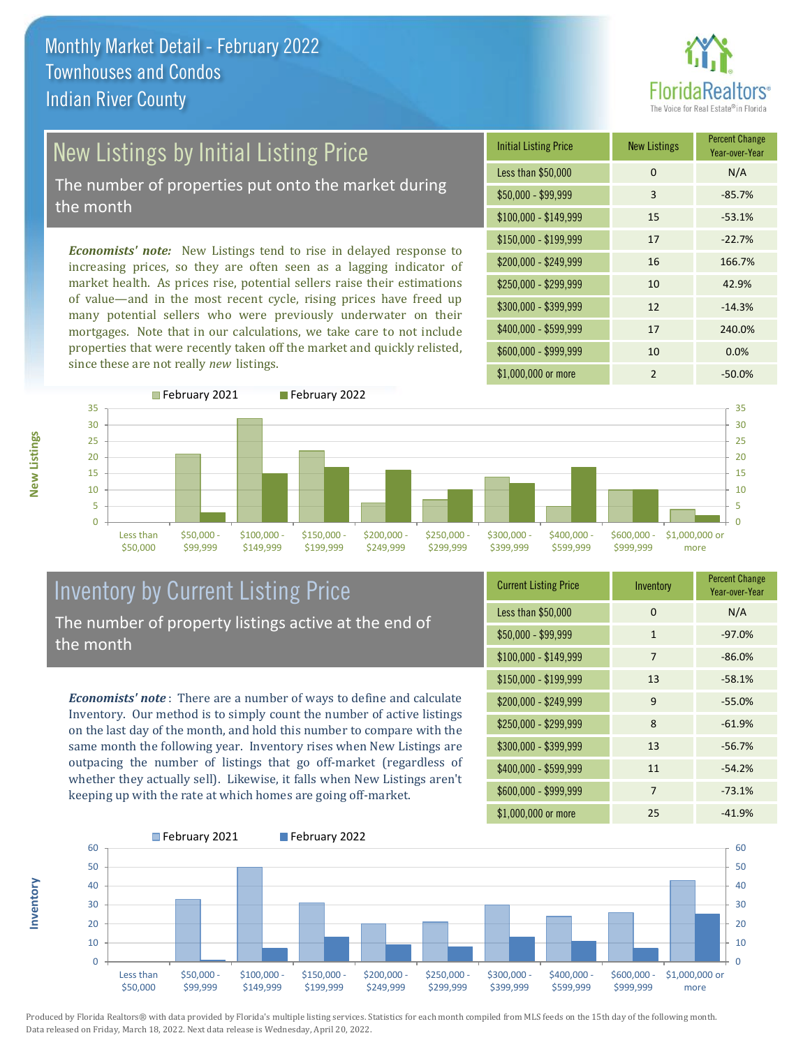

# New Listings by Initial Listing Price

The number of properties put onto the market during the month

*Economists' note:* New Listings tend to rise in delayed response to increasing prices, so they are often seen as a lagging indicator of market health. As prices rise, potential sellers raise their estimations of value—and in the most recent cycle, rising prices have freed up many potential sellers who were previously underwater on their mortgages. Note that in our calculations, we take care to not include properties that were recently taken off the market and quickly relisted, since these are not really *new* listings.





## Inventory by Current Listing Price The number of property listings active at the end of the month

*Economists' note* : There are a number of ways to define and calculate Inventory. Our method is to simply count the number of active listings on the last day of the month, and hold this number to compare with the same month the following year. Inventory rises when New Listings are outpacing the number of listings that go off-market (regardless of whether they actually sell). Likewise, it falls when New Listings aren't keeping up with the rate at which homes are going off-market.

| <b>Current Listing Price</b> | Inventory      | <b>Percent Change</b><br>Year-over-Year |
|------------------------------|----------------|-----------------------------------------|
| Less than \$50,000           | 0              | N/A                                     |
| $$50,000 - $99,999$          | $\mathbf{1}$   | $-97.0%$                                |
| $$100,000 - $149,999$        | 7              | $-86.0%$                                |
| $$150,000 - $199,999$        | 13             | $-58.1%$                                |
| $$200,000 - $249,999$        | 9              | $-55.0%$                                |
| \$250,000 - \$299,999        | 8              | $-61.9%$                                |
| \$300,000 - \$399,999        | 13             | $-56.7%$                                |
| \$400,000 - \$599,999        | 11             | $-54.2%$                                |
| \$600,000 - \$999,999        | $\overline{7}$ | $-73.1%$                                |
| \$1,000,000 or more          | 25             | $-41.9%$                                |



Produced by Florida Realtors® with data provided by Florida's multiple listing services. Statistics for each month compiled from MLS feeds on the 15th day of the following month. Data released on Friday, March 18, 2022. Next data release is Wednesday, April 20, 2022.

**Inventory**